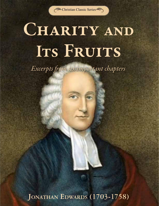

# CHARITY AND Its Fruits

*Excerpts from six important chapters*

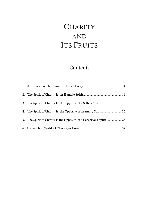# **CHARITY** AND ITS FRUITS

# **Contents**

| 3. The Spirit of Charity Is the Opposite of a Selfish Spirit 13     |  |
|---------------------------------------------------------------------|--|
| 4. The Spirit of Charity Is the Opposite of an Angry Spirit  16     |  |
| 5. The Spirit of Charity Is the Opposite of a Censorious Spirit  23 |  |
|                                                                     |  |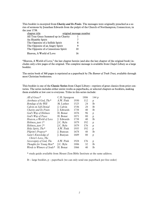This booklet is excerpted from *Charity and Its Fruits.* The messages were originally preached as a series of sermons by Jonathan Edwards from the pulpit of the Church of Northampton, Connecticut, in the year 1738.

| chapter title                       | original message number |
|-------------------------------------|-------------------------|
| All True Grace Summed up in Charity |                         |
| An Humble Spirit                    |                         |
| The Opposite of a Selfish Spirit    | 8                       |
| The Opposite of an Angry Spirit     | 9                       |
| The Opposite of a Censorious Spirit | 10                      |
| Heaven, A World of Love             | 16                      |

"Heaven, A World of Love," the last chapter herein (and also the last chapter of the original book) includes only a few pages of the original. The complete message is available from *Chapel Library* as a large booklet.

The entire book of 368 pages is reprinted as a paperback by *The Banner of Truth Trust,* available through most Christian bookstores.

This booklet is one of the **Classic Series** from *Chapel Library*—reprints of great classics from prior centuries*.* The series includes either entire works as paperbacks, or selected chapters as booklets, making them available at low cost to everyone. Titles in this series include:

| All of Grace $\star$           | C.H. Spurgeon |      | 1886 | 144 p          |
|--------------------------------|---------------|------|------|----------------|
| Attributes of God, The*        | A.W. Pink     | 1930 | 112  | p              |
| Bondage of the Will            | M. Luther     | 1525 | 24   | lb             |
| Calvin on Self-Denial          | J. Calvin     | 1536 | 28   | 1b             |
| Charity and Its Fruits         | J. Edwards    | 1738 | 40   | 1b             |
| God's Way of Holiness          | H. Bonar      | 1876 | 96   | p              |
| God's Way of Peace             | H. Bonar      | 1871 | 80   | p              |
| Heaven, a World of Love        | J. Edwards    | 1738 | 40   | 1b             |
| Holiness, part $1^{\star}$     | J.C. Ryle     | 1879 | 192  | p              |
| Holiness, part $2^{\star}$     | J.C. Ryle     | 1879 | 176  | p              |
| Holy Spirit, The $\star$       | A.W. Pink     | 1935 | 192  | p              |
| Pilgrim's Progress*            | J. Bunyan     | 1678 | 48   | 1 <sub>b</sub> |
| Saint's Knowledge of           | J. Bunyan     | 1689 | 80   | p              |
| Christ's Love, The             |               |      |      |                |
| Sovereignty of God, The        | A.W. Pink     | 1928 | 176  | p              |
| Thoughts for Young Men $\star$ | J.C. Ryle     | 1886 | 32   | 1b             |
| Words to Winners of Souls*     | H. Bonar      | 1866 | 40   | 1 <sub>b</sub> |
|                                |               |      |      |                |

\* study guide available from Mount Zion Bible Institute at the same address.

lb – large booklet, p – paperback (we can only send one paperback per free order)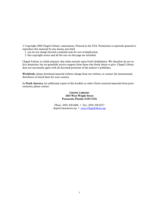© Copyright 2004 Chapel Library: annotations. Printed in the USA. Permission is expressly granted to reproduce this material by any means, provided

1. you do not charge beyond a nominal sum for cost of duplication

2. this copyright notice and all the text on this page are included.

Chapel Library is a faith ministry that relies entirely upon God's faithfulness. We therefore do not solicit donations, but we gratefully receive support from those who freely desire to give. Chapel Library does not necessarily agree with all doctrinal positions of the authors it publishes.

**Worldwide**, please download material without charge from our website, or contact the international distributor as listed there for your country.

In **North America**, for additional copies of this booklet or other Christ-centered materials from prior centuries, please contact

#### **CHAPEL LIBRARY 2603 West Wright Street Pensacola, Florida 32505 USA**

*Phone: (850) 438-6666* • *Fax: (850) 438-0227 [chapel@mountzion.org](mailto:chapel@mountzion.org)* • *[www.ChapelLibrary.org](http://www.chapellibrary.org/)*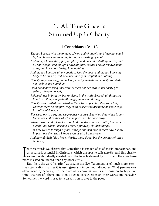# <span id="page-4-0"></span>1. All True Grace Is Summed Up in Charity

# 1 Corinthians 13:1-13

- *Though I speak with the tongues of men and of angels, and have not charity, I am become as sounding brass, or a tinkling cymbal.*
- *And though I have the gift of prophecy, and understand all mysteries, and all knowledge; and though I have all faith, so that I could remove mountains, and have not charity, I am nothing.*

*And though I bestow all my goods to feed the poor, and though I give my body to be burned, and have not charity, it profiteth me nothing.* 

- *Charity suffereth long, and is kind; charity envieth not; charity vaunteth not itself, is not puffed up,*
- *Doth not behave itself unseemly, seeketh not her own, is not easily provoked, thinketh no evil;*
- *Rejoiceth not in iniquity, but rejoiceth in the truth; Beareth all things, believeth all things, hopeth all things, endureth all things.*
- *Charity never faileth: but whether there be prophecies, they shall fail; whether there be tongues, they shall cease; whether there be knowledge, it shall vanish away.*
- *For we know in part, and we prophesy in part. But when that which is perfect is come, then that which is in part shall be done away.*
- *When I was a child, I spake as a child, I understood as a child, I thought as a child: but when I became a man, I put away childish things.*
- *For now we see through a glass, darkly; but then face to face: now I know in part; but then shall I know even as also I am known.*
- *And now abideth faith, hope, charity, these three; but the greatest of these is charity."*

 $\Gamma$  N these words we observe that something is spoken of as of special importance, and as peculiarly essential in Christians, which the apostle calls *charity*. And this charity, we find, is abundantly insisted on in the New Testament by Christ and His apostles more insisted on, indeed, than any other virtue. I

But, then, the word "charity," as used in the New Testament, is of much more extensive signification than as it is used generally in common discourse. What persons very often mean by "charity," in their ordinary conversation, is a disposition to hope and think the best of others, and to put a good construction on their words and behavior. Sometimes the word is used for a disposition to give to the poor.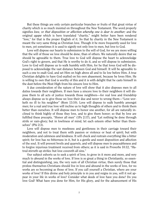But these things are only certain particular branches or fruits of that great virtue of charity which is so much insisted on throughout the New Testament. The word properly signifies *love,* or *that disposition or affection whereby one is dear to another;* and the original *agape* which is here translated "charity," might better have been rendered "love," for that is the proper English of it. So that by charity in the New Testament is meant the very same thing as Christian love. Though it be more frequently used for love to men, yet sometimes it is used to signify not only love to men, but love to God.

Love will dispose our hearts to submission to the will of God, for we are more willing that the will of those we love should be done, than of others. We naturally desire that we should be agreeable to them. True love to God will dispose the heart to acknowledge God's right to govern, and that He is worthy to do it, and so will dispose to submission. Love to God will dispose us to walk humbly with Him, for he that loves God will be disposed to acknowledge the vast distance between God and himself. It will be agreeable to such a one to exalt God, and set Him on high above all and to lie low before Him. A true Christian delights to have God exalted on his own abasement, because he loves Him. He is willing to own that God is worthy of this and it is with delight that he casts himself in the dust before the Most High from his sincere love to Him.

A due consideration of the nature of love will show that it also disposes men to all duties towards their neighbors. If men have a sincere love to their neighbors it will dispose them to all acts of justice towards those neighbors—for real love and friendship always dispose us to give those we love their due and never to wrong them—"Love worketh no ill to his neighbor" (Rom 13:10). Love will dispose to walk humbly amongst men; for a real and true love will incline us to high thoughts of others and to think them better than ourselves. It will dispose men to honor one another, for all are naturally inclined to think highly of those they love, and to give them honor; so that by love are fulfilled these precepts, "Honor all men" (1Pe 2:17), and "Let nothing be done through strife or vain-glory; but in lowliness of mind, let each esteem other better than themselves" (Phi 2:3).

Love will dispose men to meekness and gentleness in their carriage toward their neighbors, and not to treat them with passion or violence or heat of spirit; but with moderation and calmness and kindness. It will check and restrain everything like a bitter spirit; for love has no bitterness in it, but is a gentle and sweet disposition and affection of the soul. It will prevent broils and quarrels, and will dispose men to peaceableness and to forgive injurious treatment received from others; as it is said in Proverbs 10:12, "Hatred stirreth up strifes: but love covereth all sins."

Our subject exhorts us to seek a spirit of love, to grow in it more and more, and very much to abound in the works of love. If love is so great a thing in Christianity, so essential and distinguishing, yea, the very sum of all Christian virtue, then surely those that profess themselves Christians should live in love and abound in the works of love, for no works are so becoming as those of love. If you call yourself a Christian, where are your works of love? If this divine and holy principle is in you and reigns in you, will it not appear in your life in works of love? Consider what deeds of love have you done? Do you love God? What have you done for Him, for His glory, and for the advancement of His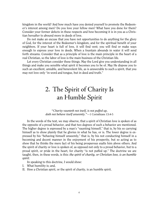kingdom in the world? And how much have you denied yourself to promote the Redeemer's interest among men? Do you love your fellow men? What have you done for them? Consider your former defects in these respects and how becoming it is in you as a Christian hereafter to abound more in deeds of love.

Do not make an excuse that you have not opportunities to do anything for the glory of God, for the interest of the Redeemer's kingdom, and for the spiritual benefit of your neighbors. If your heart is full of love, it will find vent; you will find or make ways enough to express your love in deeds. When a fountain abounds in water it will send forth streams. Consider that as a principle of love is the main principle in the heart of a real Christian, so the labor of love is the main business of the Christian life.

<span id="page-6-0"></span>Let every Christian consider these things. May the Lord give you understanding in all things and make you sensible what spirit it becomes you to be of. May He dispose you to such an excellent, amiable, and benevolent life, as is answerable to such a spirit, that you may not love only "in word and tongue, but in deed and truth."

# 2. The Spirit of Charity Is an Humble Spirit

*"Charity vaunteth not itself, is not puffed up, doth not behave itself unseemly."—*1 Corinthians 13:4-5

In the words of the text, we may observe, that a spirit of Christian love is spoken of as the opposite of a proud behavior, and that two degrees of such a behavior are mentioned. The higher degree is expressed by a man's "vaunting himself," that is, by his so carrying himself as to show plainly that he glories in what he has, or is. The lower degree is expressed by his "behaving himself unseemly," that is, by his not conducting himself in a becoming and decent manner in the enjoyment of his prosperity, but so acting as to show that he thinks the mere fact of his being prosperous exalts him above others. And the spirit of charity or love is spoken of, as opposed not only to a proud behavior, but to a proud spirit, or pride in the heart, for charity "is not puffed up." The doctrine we are taught, then, in these words, is this: *the spirit of charity, or Christian love, is an humble spirit.*

In speaking to this doctrine, I would show:

- I. What humility is; and,
- II. How a Christian spirit, or the spirit of charity, is an humble spirit.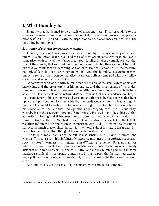# I. What Humility Is

Humility may be defined to be a habit of mind and heart 1) corresponding to our comparative unworthiness and vileness before God, or a sense of our own comparative meanness<sup>[1](#page-7-0)</sup> in His sight, and 2) with the disposition to a behavior answerable thereto. The first thing in humility is,

## *1. A sense of our own comparative meanness*

Humility is an excellence proper to all created intelligent beings, for they are all infinitely little and mean<sup>1</sup> before God, and most of them are in some way mean and low in comparison with some of their fellow creatures. Humility implies a compliance with that rule of the apostle, that we think not of ourselves more highly than we ought to think, but that we think soberly, according as God hath dealt to everyone of us the measure, not only of faith, but of other things (Rom 12:3). And this humility, as a virtue in men, implies a sense of their own comparative meanness, both as compared with their fellow creatures and as compared with God.

As compared with God, a truly humble man is sensible of the small extent of his own knowledge, and the great extent of his ignorance, and the small extent of his understanding. He is sensible of his weakness. How little his strength is, and how little he is able to do. He is sensible of his natural distance from God: of his dependence on Him, of the insufficiency of his own power and wisdom, and that it is by God's power that he is upheld and provided for. He is sensible that he needs God's wisdom to lead and guide him, and His might to enable him to do what he ought to do for Him. He is sensible of his subjection to God, and that God's greatness does properly consist in His authority, whereby He is the sovereign Lord and King over all. He is willing to be subject to that authority, as feeling that it becomes him to submit to the divine will, and yield in all things to God's authority. Man had this sort of comparative littleness before the fall. He was then infinitely little and mean in comparison with God. But his natural meanness has become much greater since the fall, for the moral ruin of his nature has greatly impaired his natural faculties, though it has not extinguished them.

The truly humble man, since the fall, is also sensible of his *moral* meanness and vileness. This consists in his sinfulness. His *natural* meanness is his *littleness as a creature;* his *moral* meanness is his *vileness and filthiness as a sinner.* Unfallen man was infinitely distant from God in his natural qualities or attributes. Fallen man is infinitely distant from him also as sinful, and thus filthy. And a truly humble person is in some measure sensible of his comparative meanness in this respect, that he sees how exceedingly polluted he is before an infinitely holy God, in whose sight the heavens are not clean.

As humility consists in a sense of our comparative meanness, so it implies,

<span id="page-7-0"></span>**meanness, mean** – lacking dignity of mind; destitute of honor; despicable; of little value.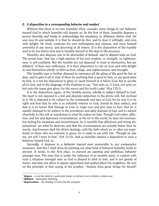#### *2. A disposition to a corresponding behavior and conduct*

Without this there is no true humility! *First,* consider some things *in our behavior toward God* to which humility will dispose us. As the first of these, humility disposes a person *heartily and freely to acknowledge his meanness or littleness before God.* He sees how fit and suitable it is that he should do this, and he does it willingly, and even with delight. He freely confesses his own nothingness and vileness, and owns himself unworthy of any mercy, and deserving of all misery. It is the disposition of the humble soul to lie low before God and to humble himself in the dust in His presence.

Humility also disposes one *to be distrustful of himself, and to depend only on God.*  The proud man, that has a high opinion of his own wisdom, or strength, or righteous-ness, is self-confident. But the humble are not disposed<sup>[2](#page-8-0)</sup> to trust in themselves, but are diffident<sup>[3](#page-8-1)</sup> of their own sufficiency. It is their disposition to rely on God, and with delight to cast themselves wholly on Him as their refuge, and righteousness, and strength.

The humble man is further disposed *to renounce all the glory of the good he has or does, and to give it all to God.* If there be anything that is good in him, or any good done by him, it is not his disposition to glory or vaunt himself in it before God, but to ascribe all to God, and in the language of the Psalmist to say, "Not unto us, O Lord, not unto us, but unto thy name give glory, for thy mercy and thy truth's sake" (Psa 115:1).

It is the disposition, again, of the humble person, *wholly to subject himself to God.*  His heart is not opposed to a full and absolute subjection to the divine will, but inclined to it. He is disposed to be subject to the commands and laws of God, for he sees it to be right and best that he who is so infinitely inferior to God, should be thus subject; and that it is an honor that belongs to God, to reign over and give laws to him. And he is equally disposed to be subject to the providence and daily disposal of God, and to submit cheerfully to His will as manifested in what He orders for him. Though God orders affliction, and low and depressed circumstances, as his lot in the world, he does not murmur, but feeling his meanness and unworthiness, he is sensible that afflictions and trying dis-pensations<sup>[4](#page-8-2)</sup> are what he deserves, and that his circumstances are actually better than he merits. And however dark the divine dealings, with the faith which we so often see manifested in those who are eminent in grace, he is ready to say with Job, "Though he slay me, yet will I trust in him" (Job 13:15). And as humility implies a disposition to such a behavior toward God, so,

*Secondly,* it disposes *to a behavior toward men* answerable to our comparative meanness. And this I shall show by pointing out what kind of behavior humility tends to prevent. It tends, in the first place, to prevent *an aspiring and ambitious behavior*  amongst men. The man that is under the influence of an humble spirit, is content with such a situation amongst men as God is pleased to allot to him, and is not greedy of honor, and does not affect to appear uppermost and exalted above his neighbors. He acts on the principle of that saying of the prophet, "Seekest thou great things for thyself?

<span id="page-8-0"></span><sup>&</sup>lt;sup>2</sup> **dispose** – to set the mind in a particular frame; to incline to act or think a certain way.<br><sup>3</sup> **diffident** – distrustful; doubting.<br><sup>4</sup> **dispensations** – the dealing of God with His creatures.

<span id="page-8-1"></span>

<span id="page-8-2"></span>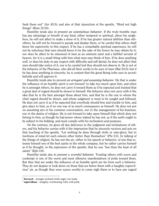Seek them not" (Jer 45:5); and also of that injunction of the apostle, "Mind not high things" (Rom 12:16).

Humility tends also *to prevent an ostentatious behavior.* If the truly humble man has any advantage or benefit of any kind, either temporal or spiritual, above his neighbors, he will not affect to make a show of it. If he has greater natural abilities than othothers, he will not be forward to parade and display them, or be careful that others shall know his superiority in this respect. If he has a remarkable spiritual experience, he will not be solicitous that men should know it for the sake of the honor he may obtain by it; nor does he affect to be esteemed of men as an eminent saint and a faithful servant of heaven, for it is a small thing with him what men may think of him. If he does anything well, or does his duty in any respect with difficulty and self-denial, he does not affect that men should take notice of it, nor is he careful lest they should not observe it. He is not of the behavior of the Pharisees, who did all their works to be seen of men (Mat 23:5); but if he has done anything in sincerity, he is content that the great Being (who sees in secret) beholds and will approve it.

Humility tends also to prevent *an arrogant and assuming behavior.* He that is under the influence of an humble spirit is not forward<sup>[5](#page-9-0)</sup> to take too much upon him, and when he is amongst others, he does not carry it toward them as if he expected and insisted that a great deal of regard should be shown to himself. His behavior does not carry with it the idea that he is the best amongst those about him, and that he is the one to whom the chief regard should be shown, and whose judgment is most to be sought and followed. He does not carry it as if he expected that everybody should bow and truckle to him, and give place to him, as if no one was of as much consequence as himself. He does not put on assuming airs in his common conversation, nor in the management of his business, nor in the duties of religion. He is not forward to take upon himself that which does not belong to him, as though he had power where indeed he has not, as if the earth ought to be subject to his bidding, and must comply with his inclination and purposes.

On the contrary, he gives all due deference to the judgment and inclinations of others, and his behavior carries with it the impression that he sincerely receives and acts on that teaching of the apostle, "Let nothing be done through strife or vain-glory; but in lowliness of mind let each esteem other better than themselves" (Phi 2:3). In talking of the things of religion, he has not the air, either in his speech or behavior, of one that esteems himself one of the best saints in the whole company, but he rather carries himself as if he thought, in the expression of the apostle, that he was "less than the least of all saints" (Eph 3:8).

Humility tends also *to prevent a scornful behavior.* Treating others with scorn and contempt is one of the worst and most offensive manifestations of pride toward them. But they that are under the influence of an humble spirit are far from such a behavior. They do not despise or look down on those that are below them with a haughty supercil-ious<sup>[6](#page-9-1)</sup> air, as though they were scarce worthy to come nigh them or to have any regard

<span id="page-9-1"></span><span id="page-9-0"></span> $\frac{5}{6}$  **forward** – strongly inclined; bold; eager; too ready.<br> $\frac{6}{6}$  **supercilious** – haughty; overbearing; lofty with pride.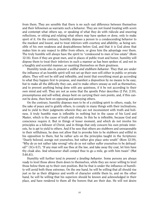from them. They are sensible that there is *no* such vast difference between themselves and their fellowmen as warrants such a behavior. They are not found treating with scorn and contempt what others say, or speaking of what they do with ridicule and sneering reflections, or sitting and relating what others may have spoken or done, only to make sport of it. On the contrary, humility disposes a person to a condescending behavior to the meekest and lowest, and to treat inferiors with courtesy and affability, as being sensible of his own weakness and despicableness before God, and that it is God alone that makes him in any respect to differ from others, or gives him the advantage over them. The truly humble will always have the spirit to "condescend to men of low estate" (Rom 12:16). Even if they are great men, and in places of public trust and honor, humility will dispose them to treat their inferiors in such a manner as has been spoken of, and not in a haughty and scornful manner, as vaunting themselves on their greatness.

Humility tends also *to prevent a willful and stubborn behavior.* They that are under the influence of an humble spirit will not set up their own will either in public or private affairs. They will not be stiff and inflexible, and insist that everything must go according to what they happen first to propose, and manifest a disposition by no means to be easy, but to make all the difficulty they can, and to make others uneasy as well as themselves, and to prevent anything being done with any quietness, if it be not according to their own mind and will. They are not as some that the apostle Peter describes (2 Pet. 2:10), presumptuous and self-willed, always bent on carrying their own points, and, if this cannot be done, then bent on opposing and annoying others.

On the contrary, humility disposes men to be of a yielding spirit to others, ready, for the sake of peace and to gratify others, to comply in many things with their inclinations, and to yield to their judgments wherein they are not inconsistent with truth and holiness. A truly humble man is inflexible in nothing but in the cause of his Lord and Master, which is the cause of truth and virtue. In this he is inflexible, because God and conscience require it. But in things of lesser moment, and which do not involve his principles as a follower of Christ, and in things that only concern his own private interests, he is apt to yield to others. And if he sees that others are stubborn and unreasonable in their willfulness, he does not allow that to provoke him to be stubborn and willful in his opposition to them, but he rather acts on the principles taught in the Scriptures: "Dearly beloved, avenge not yourselves, but rather give place unto wrath" (Rom 12:19), "Why do ye not rather take wrong? why do ye not rather suffer yourselves to be defrauded?" (1Co 6:7), "If any man will sue thee at the law, and take away thy coat, let him have thy cloak also. And whosoever shall compel thee to go a mile, go with him twain" (Mat 5:40,41).

Humility will further tend *to prevent a leveling behavior.* Some persons are always ready to level those above them down to themselves, while they are never willing to level those below them up to their own position. But he that is under the influence of humility will avoid both these extremes. On the one hand, he will be willing that all should rise just so far as their diligence and worth of character entitle them to, and on the other hand, he will be willing that his superiors should be known and acknowledged in their place, and have rendered to them all the honors that are their due. He will not desire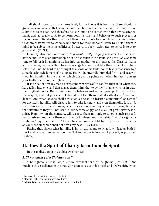that all should stand upon the same level, for he knows it is best that there should be gradations in society: that some should be above others, and should be honored and submitted to as such. And therefore he is willing to be content with this divine arrangement, and, agreeably to it, to conform both his spirit and behavior to such precepts as the following: "Render therefore to all their dues: tribute to whom tribute is due; custom to whom custom; fear to whom fear; honour to whom honour" (Rom 13:7); "Put them in mind to be subject to principalities and powers, to obey magistrates, to be ready to every good work" (Tit 3:1).

Humility also tends, once more, *to prevent a self-justifying behavior.* He that is under the influence of an humble spirit, if he has fallen into a fault, as all are liable at some time to fall, or if in anything he has injured another, or dishonored the Christian name and character, will be willing to acknowledge his fault, and take the shame of it to himself. He will not be hard to be brought to a sense of his fault, nor to testify that sense by a suitable acknowledgment of his error. He will be inwardly humbled for it, and ready to show his humility in the manner which the apostle points out, when he says, "Confess your faults one to another" (Jam 5:16).

It is pride that makes men so exceedingly backward<sup>[7](#page-11-0)</sup> to confess their fault when they have fallen into one, and that makes them think that to be their shame which is in truth their highest honor. But humility in the behavior makes men prompt to their duty in this respect, and if it prevails as it should, will lead them to do it with alacrity $\delta$  and even delight. And when anyone shall give such a person a Christian admonition<sup>[9](#page-11-2)</sup> or reproof for any fault, humility will dispose him to take it kindly, and even thankfully. It is pride that makes men to be so uneasy when they are reproved by any of their neighbors, so that oftentimes they will not bear it, but become angry, and manifest great bitterness of spirit. Humility, on the contrary, will dispose them not only to tolerate such reproofs, but to esteem and prize them as marks of kindness and friendship. "Let the righteous smite me," says the Psalmist, "it shall be a kindness; and let him reprove me, it shall be an excellent oil, which shall not break my head" (Psa 141:5).

Having thus shown what humility is in its nature, and to what it will lead us both in spirit and behavior, in respect both to God and to our fellowmen, I proceed, as proposed, to show,

# II. How the Spirit of Charity Is an Humble Spirit

In the application of this subject we may see,

#### *1. The excellency of a Christian spirit*

"The righteous," it is said, "is more excellent than his neighbor" (Pro 12:26). And much of this excellence in the true Christian consists in his meek and lowly spirit, which

<span id="page-11-0"></span>

<span id="page-11-2"></span><span id="page-11-1"></span>

<sup>&</sup>lt;sup>7</sup> **backward** – unwilling; averse; reluctant.<br><sup>8</sup> **alacrity** – cheerful willingness; readiness.<br>9 **admonition** – gentle reproof; counsel to correct a fault.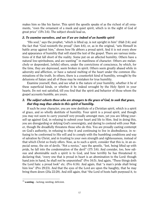makes him so like his Savior. This spirit the apostle speaks of as the richest of all ornaments, "even the ornament of a meek and quiet spirit, which is in the sight of God of great price" (1Pe 3:4). The subject should lead us,

## *2. To examine ourselves, and see if we are indeed of an humble spirit*

"His soul," says the prophet, "which is lifted up, is not upright in him" (Hab 2:4); and the fact that "God resisteth the proud" (Jam 4:6), or, as in the original, "sets Himself in battle array against him," shows how He abhors a proud spirit. And it is not every show and appearance of humility that will stand the test of the gospel. There are various imitations of it that fall short of the reality. Some put on an affected humility. Others have a natural low-spiritedness, and are wanting<sup>[10](#page-12-0)</sup> in manliness of character. Others are melancholy or despondent, [while] others, under the convictions of conscience, by which, for the time, they are depressed, seem broken in spirit. Others seem greatly abased while in adversity and affliction, or have a natural melting of the heart under the common illuminations of the truth. In others, there is a counterfeit kind of humility, wrought by the delusions of Satan: and all of these may be mistaken for true humility.

Examine yourself, then, and see what is the nature of your humility, whether it be of these superficial kinds, or whether it be indeed wrought by the Holy Spirit in your hearts. Do not rest satisfied, till you find that the spirit and behavior of those whom the gospel accounts humble, are yours.

# *3. The subject exhorts those who are strangers to the grace of God, to seek that grace, that they may thus attain to this spirit of humility.*

If such be your character, you are now destitute of a Christian spirit, which is a spirit of grace, and so wholly destitute of humility. Your spirit is a proud spirit, and though you may not seem to carry yourself very proudly amongst men, yet you are lifting yourself up against God, in refusing to submit your heart and life to Him. And in doing this, you are disregarding or defying God's sovereignty, and daring to contend with your Maker, though He dreadfully threatens those who do this. You are proudly casting contempt on God's authority, in refusing to obey it and continuing to live in disobedience, in refusing to be conformed to His will and to comply with the humbling conditions and way of salvation by Christ, and in trusting to your own strength and righteousness, instead of that which Christ so freely offers. Now, as to such a spirit, consider that this is, in an especial sense, the sin of devils. "Not a novice," says the apostle, "lest, being lifted up with pride, he fall into the condemnation of the devil" (1Ti 3:6). And consider, too, how odious and abominable such a spirit is to God, and how terribly he has threatened it; declaring that, "every one that is proud in heart is an abomination to the Lord: though hand join in hand, he shall not be unpunished" (Pro 16:5). And again, "These things doth the Lord hate: a proud look" etc. (Pro 6:16). And again, that "a man's pride shall bring him low" (Pro 29:23). And that the eyes of the Lord are upon the haughty, that he may bring them down (2Sa 22:28). And still again, that "the Lord of hosts hath purposed it, to

<span id="page-12-0"></span> $10$  **wanting** – lacking; needing; deficient.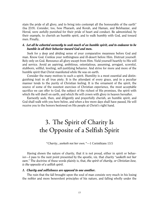stain the pride of all glory, and to bring into contempt all the honourable of the earth" (Isa 23:9). Consider, too, how Pharaoh, and Korah, and Haman, and Belshazzar, and Herod, were awfully punished for their pride of heart and conduct. Be admonished, by their example, to cherish an humble spirit, and to walk humbly with God, and toward men. Finally,

# *4. Let all be exhorted earnestly to seek much of an humble spirit, and to endeavor to be humble in all their behavior toward God and men.*

Seek for a deep and abiding sense of your comparative meanness before God and man. Know God. Confess your nothingness and ill-desert before Him. Distrust yourself. Rely only on God. Renounce all glory except from Him. Yield yourself heartily to His will and service. Avoid an aspiring, ambitious, ostentatious, assuming, arrogant, scornful, stubborn, willful, leveling, self-justifying behavior. And strive for more and more of the humble spirit that Christ manifested while He was on earth.

Consider the many motives to such a spirit. Humility is a most essential and distinguishing trait in all true piety. It is the attendant of every grace, and in a peculiar manner tends to the purity of Christian feeling. It is the ornament of the spirit, the source of some of the sweetest exercises of Christian experience, the most acceptable sacrifice we can offer to God, the subject of the richest of His promises, the spirit with which He will dwell on earth, and which He will crown with glory in heaven hereafter.

<span id="page-13-0"></span>Earnestly seek, then, and diligently and prayerfully cherish, an humble spirit, and God shall walk with you here below, and when a few more days shall have passed, He will receive you to the honors bestowed on His people at Christ's right hand.

# 3. The Spirit of Charity Is the Opposite of a Selfish Spirit

*"Charity...seeketh not her own."—*1 Corinthians 13:5

Having shown the nature of charity, that it is not proud, either in spirit or behavior—I pass to the next point presented by the apostle, viz. that charity "*seeketh not her own*." The doctrine of these words plainly is, that, *the spirit of charity, or Christian love, is the opposite of a selfish spirit.*

## *1. Charity and selfishness are opposed to one another.*

The ruin that the fall brought upon the soul of man consists very much in his losing the nobler and more benevolent principles of his nature, and falling wholly under the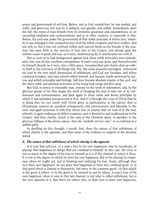power and government of self-love. Before, and as God created him, he was exalted, and noble, and generous; but now he is debased, and ignoble, and selfish. Immediately upon the fall, the mind of man shrank from its primitive greatness and expandedness, to an exceeding smallness and contractedness; and as in other respects, so especially in this. Before, his soul was under the government of that noble principle of divine love, whereby it was enlarged to the comprehension of all his fellow creatures and their welfare. And not only so, but it was not confined within such narrow limits as the bounds of the creation, but went forth in the exercise of holy love to the Creator, and abroad upon the infinite ocean of good, and was, as it were, swallowed up by it, and became one with it.

But so soon as he had transgressed against God, these noble principles were immediately lost, and all this excellent enlargedness of man's soul was gone; and thenceforward he himself shrank, as it were, into a little space, circumscribed and closely shut up within itself to the exclusion of all things else. Sin, like some powerful astringent, contracted his soul to the very small dimensions of selfishness; and God was forsaken, and fellow creatures forsaken, and man retired within himself, and became totally governed by narrow and selfish principles and feelings. Self-love became absolute master of his soul, and the more noble and spiritual principles of his being took wings and flew away.

But God, in mercy to miserable man, entered on the work of redemption, and, by the glorious gospel of his Son, began the work of bringing the soul of man out of its confinement and contractedness, and back again to those noble and divine principles by which it was animated and governed at first. And it is through the cross of Christ that he is doing this; for our union with Christ gives us participation in his nature. And so Christianity restores an excellent enlargement, and extensiveness, and liberality to the soul, and again possesses it with that divine love or charity that we read of in the text, whereby it again embraces its fellow creatures, and is devoted to and swallowed up in the Creator. And thus charity, which is the sum of the Christian spirit, so partakes of the glorious fullness of the divine nature, that she "seeketh not her own," or is *contrary to a selfish spirit.*

In dwelling on this thought, I would, first, show the nature of that selfishness of which charity is the opposite; and then some of the evidence in support of the doctrine stated.

#### *2. The nature of that selfishness of which charity is the opposite*

It is true that self-love, or a man's love to his own happiness, may be inordinate, *in placing that happiness in things that are confined to himself*. In this case, the error is not so much in the degree of his love to himself as it is in the channel in which it flows. It is not in the degree in which he loves his own happiness, but in his placing his happiness where he ought not, and in limiting and confining his love. Some, although they love their own happiness, do not place that happiness in their own confined good, or in that good which is limited to themselves, but more in the common good—in that which is the good of others, or in the good to be enjoyed in and by others. A man's love of his own happiness, when it runs in this last channel, is not what is called selfishness, but is the very opposite of it. But there are others who, in their love to their own happiness,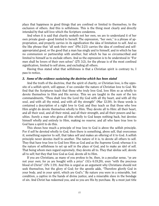place that happiness in good things that are confined or limited to themselves, to the exclusion of others. And this is selfishness. This is the thing most clearly and directly intended by that self-love which the Scripture condemns.

And when it is said that charity seeketh not her own, we are to understand it of her own private good—good limited to herself. The expression, "her own," is a phrase of appropriation, and properly carries in its signification the idea of limitation to self. And so the like phrase that "all seek their own" (Phi 2:21) carries the idea of confined and selfappropriated good, or the good that a man has singly and to himself, and in which he has no communion or partnership with another, but which he has so circumscribed and limited to himself as to exclude others. And so the expression is to be understood in "For men shall be lovers of their own selves" (2Ti 3:2), for the phrase is of the most confined signification, limited to self alone, and excluding all others.

Having thus stated what that selfishness is that a Christian spirit is contrary to, I pass to notice,

#### *3. Some of the evidence sustaining the doctrine which has been stated*

And the truth of the doctrine, that the spirit of charity, or Christian love, is the opposite of a selfish spirit, will appear, if we consider the nature of Christian love to God. We find that the Scriptures teach that those who truly love God, love Him so as wholly to devote themselves to Him and His service. This we are taught in the sum of the ten commandments, "Thou shalt love the Lord thy God with all thy heart, and with all thy soul, and with all thy mind, and with all thy strength" (Mar 12:30). In these words is contained a description of a right love to God; and they teach us that those who love Him aright do devote themselves wholly to Him. They devote all to Him: all their heart, and all their soul, and all their mind, and all their strength, and all their powers and faculties. Surely a man who gives all this wholly to God keeps nothing back, but devotes himself wholly and entirely to Him, making no reserve; and all who have true love to God have a spirit to do this.

This shows how much a principle of true love to God is above the selfish principle. For if self be devoted wholly to God, then there is something, above self, that overcomes it; something superior to self, that takes self and makes an offering of it to God. A selfish principle never devotes itself to another. The nature of it is, to devote all others to self. They that have true love to God love Him as God and as the Supreme Good; whereas it is the nature of selfishness to set up self in the place of God, and to make an idol of self. That being whom men regard supremely, they devote all to. They that idolize self, devote all to self; but they that love God as God, devote all to Him.

If you are Christians, as many of you profess to be, then, in a peculiar sense, "ye are not your own; for ye are bought with a price" (1Co 6:19,20), even "with the precious blood of Christ" (1Pe 1:19). And this is urged as an argument why Christians should not seek themselves, but the glory of God; for the apostle adds, "Therefore glorify God in your body, and in your spirit, which are God's." By nature you were in a miserable, lost condition, a captive in the hands of divine justice, and a miserable slave in the bondage of sin. And Christ has redeemed you, and so you are His by purchase. By a most just title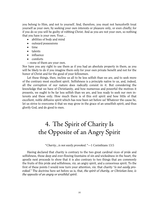you belong to Him, and not to yourself. And, therefore, you must not henceforth treat yourself as your own, by seeking your own interests or pleasure only, or even chiefly; for if you do so you will be guilty of robbing Christ. And as you are not your own, so nothing that you have is your own. Your…

- abilities of body and mind
- outward possessions
- time
- talents
- influence
- comforts
- —none of them are your own.

Nor have you any right to use them as if you had an absolute property in them, as you will be likely to do if you imagine them only for your own private benefit and not for the honor of Christ and for the good of your fellowmen.

Let these things, then, incline us all to be less selfish than we are, and to seek more of the contrary most excellent spirit. Selfishness is a principle native to us, and, indeed, all the corruption of our nature does radically consist in it. But considering the knowledge that we have of Christianity, and how numerous and powerful the motives it presents, we ought to be far less selfish than we are, and less ready to seek our own interests and these only. How much there is of this evil spirit and how little of that excellent, noble diffusive spirit which has now been set before us! Whatever the cause be, let us strive to overcome it that we may grow in the grace of an unselfish spirit, and thus glorify God, and do good to men.

# <span id="page-16-0"></span>4. The Spirit of Charity Is the Opposite of an Angry Spirit

*"Charity...is not easily provoked."—*1 Corinthians 13:5

Having declared that charity is contrary to the two great cardinal vices of pride and selfishness, those deep and ever-flowing fountains of sin and wickedness in the heart, the apostle next proceeds to show that it is also contrary to two things that are commonly the fruits of this pride and selfishness, viz. an angry spirit, and a censorious spirit. To the first of these points I would now turn your attention, viz. that charity "*is not easily provoked*." The doctrine here set before us is, that, *the spirit of charity, or Christian love, is the opposite of an angry or wrathful spirit.*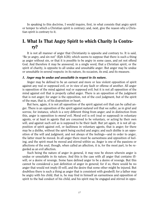In speaking to this doctrine, I would inquire, first, in what consists that angry spirit or temper to which a Christian spirit is contrary; and, next, give the reason why a Christian spirit is contrary to it.

# I. What Is That Angry Spirit to which Charity Is Contrary?

It is not all manner of anger that Christianity is opposite and contrary to. It is said, "Be ye angry, and sin not" (Eph 4:26); which seems to suppose that there is such a thing as anger without sin, or that it is possible to be angry in some cases, and yet not offend God. And therefore it may be answered, in a single word, that a Christian spirit, or the spirit of charity, is opposite to all undue and unsuitable anger. But anger may be undue or unsuitable in several respects: in its nature, its occasion, its end, and its measure.

## *1. Anger may be undue and unsuitable in respect to its nature.*

Anger may be defined to be an earnest and more or less violent opposition of spirit against any real or supposed evil, or in view of any fault or offense of another. All anger is opposition of the mind against real or supposed evil; but it is not all opposition of the mind against evil that is properly called anger. There is an opposition of the judgment that is not anger; for anger is the opposition, not of the cool judgment, but of the spirit of the man, that is, of his disposition or heart.

But here, again, it is not all opposition of the spirit against evil that can be called anger. There is an opposition of the spirit against *natural* evil that we suffer, as in grief and sorrow, for instance, which is a very different thing from anger; and in distinction from this, anger is opposition to *moral* evil. Moral evil is evil (real or supposed) in voluntary agents, or at least in agents that are conceived to be voluntary, or acting by their own will, and against such evil as is supposed to be their fault. But yet again, it is not all opposition of spirit against evil, or faultiness in voluntary agents, that is anger; for there may be a dislike, without the spirit being excited and angry; and such dislike is an opposition of the will and judgment, and not always of the feelings—and in order to anger, the latter must be moved. In all anger there must be earnestness and opposition of feeling, and the spirit must be moved and stirred within us. Anger is one of the passions or affections of the soul, though, when called an affection, it is, for the most part, to be regarded as an evil affection.

Such being the nature of anger in general, it may now be shown wherein anger is undue or unsuitable in its nature. And this is the case with all anger that contains illwill, or a desire of revenge. Some have defined anger to be a desire of revenge. But this cannot be considered a just definition of anger in general; for if so, there would be no anger that would not imply ill-will, and the desire that some other might be injured. But doubtless there is such a thing as anger that is consistent with goodwill; for a father may be angry with his child, that is, he may find in himself an earnestness and opposition of spirit to the bad conduct of his child, and his spirit may be engaged and stirred in oppo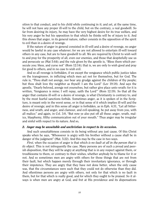sition to that conduct, and to his child while continuing in it; and yet, at the same time, he will not have any proper ill-will to the child, but on the contrary, a real goodwill. So far from desiring its injury, he may have the very highest desire for its true welfare, and his very anger be but his opposition to that which he thinks will be of injury to it. And this shows that anger, in its general nature, rather consists in the opposition of the spirit to evil than in a desire of revenge.

If the nature of anger in general consisted in ill-will and a desire of revenge, no anger would be lawful in any case whatever; for we are not allowed to entertain ill-will toward others in any case, but are to have goodwill to all. We are required by Christ to wish well to and pray for the prosperity of all, even our enemies, and those that despitefully use us and persecute us (Mat 5:44); and the rule given by the apostle is, "Bless them which persecute you: bless, and curse not" (Rom 12:14); that is, we are only to wish good and pray for good to others, and in no case to wish evil.

And so all revenge is forbidden, if we except the vengeance which public justice takes on the transgressor, in inflicting which men act not for themselves, but for God. The rule is, "Thou shalt not avenge, nor bear any grudge against the children of thy people; but thou shalt love thy neighbor as thyself: I am the Lord" (Lev 19:18). And says the apostle, "Dearly beloved, avenge not yourselves, but rather give place unto wrath: for it is written, 'Vengeance is mine; I will repay, saith the Lord'" (Rom 12:19). So that all the anger that contains ill-will or a desire of revenge, is what Christianity is contrary to, and by the most fearful sanctions forbids. Sometimes anger, as it is spoken of in the Scripture, is meant only in the worst sense, or in that sense of it which implies ill-will and the desire of revenge; and in this sense all anger is forbidden, as in Eph. 4:31, "Let all bitterness, and wrath, and anger, and clamour, and evil-speaking, be put away from you, with all malice;" and again, in Col. 3:8, "But now ye also put off all these; anger, wrath, malice, blasphemy, filthy communication out of your mouth." Thus anger may be irregular and sinful with respect to its nature. And so,

#### *2. Anger may be unsuitable and unchristian in respect to its occasion.*

And such unsuitableness consists in its being without any just cause. Of this Christ speaks when he says, "Whosoever is angry with his brother without a cause shall be in danger of the judgment" (Mat. 5:22). And this may be the case in two ways.

*First,* when the occasion of anger is that which *is no fault at all in the person that is its object.* This is not infrequently the case. Many persons are of such a proud and peevish disposition, that they will be angry at anything that is in any respect against them, or troublesome to them, or contrary to their wishes, whether anybody be to blame for it or not. And so sometimes men are angry with others for those things that are not from their fault, but which happen merely through their involuntary ignorance, or through their impotence. They are angry that they have not done better, when the only cause was, that the circumstances were such that they could not do otherwise than they did. And oftentimes persons are angry with others, not only for that which is no fault in them, but for that which is really good, and for which they ought to be praised. So it always is when men are angry at God, and fret at His providence and its dispensations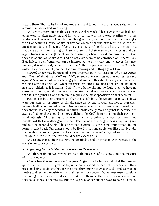toward them. Thus to be fretful and impatient, and to murmur against God's dealings, is a most horribly wicked kind of anger.

And yet this very often is the case in this wicked world. This is what the wicked Israelites were so often guilty of, and for which so many of them were overthrown in the wilderness. This was what Jonah, though a good man, was guilty of when he was angry with God without a cause, angry for that for which he should have praised God, viz. his great mercy to the Ninevites. Oftentimes, also, persons' spirits are kept very much in a fret by reason of things going contrary to them, and their meeting with crosses and disappointments and entanglements in their business, when they will not own that it is God they fret at and are angry with, and do not even seem to be convinced of it themselves. But, indeed, such fretfulness can be interpreted no other way; and whatever they may pretend, it is ultimately aimed against the Author of providence—against the God who orders these cross events, so that it is a murmuring and fretting against Him.

*Second,* anger may be unsuitable and unchristian in its occasion, *when our spirits are stirred at the faults of others chiefly as they affect ourselves, and not as they are against God.* We should never be angry but at sin, and this should always be that which we oppose in our anger. And when our spirits are stirred to oppose this evil, it should be *as* sin, or chiefly as it is against God. If there be no sin and no fault, then we have no cause to be angry; and if there be a fault or sin, then it is infinitely worse as against God than it is as against us, and therefore it requires the most opposition on that account.

Persons sin in their anger when they are selfish in it; for we are not to act as if we were our own, or for ourselves simply, since we belong to God, and not to ourselves. When a fault is committed wherein God is sinned against, and persons are injured by it, they should be chiefly concerned, and their spirits chiefly moved against it, because it is against God; for they should be more solicitous for God's honor than for their own temporal interests. All anger, as to occasion, is either a virtue or a vice, for there is no middle sort that is neither good nor bad. There is no virtue or goodness in opposing sin, unless it be opposed *as* sin. The anger that is virtuous is the same thing which, in one form, is called zeal. Our anger should be like Christ's anger. He was like a lamb under the greatest personal injuries, and we never read of his being angry but in the cause of God against sin as sin. And this should be the case with us.

And as anger may, in these ways, be unsuitable and unchristian with respect to the occasion or cause of it, so,

### *3. Anger may be unchristian with respect to its measure.*

And this, again, in two particulars, as to the measure of its degree, and the measure of its continuance.

*First,* when it is immoderate *in degree.* Anger may be far beyond what the case requires. And often it is so great as to put persons beyond the control of themselves; their passions being so violent that, for the time, they know not what they do, and seem to be unable to direct and regulate either their feelings or conduct. Sometimes men's passions rise so high that they are, as it were, drunk with them, so that their reason is gone, and they act as if beside themselves. But the degree of anger ought always to be regulated by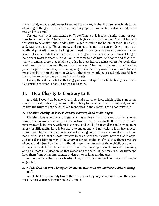the end of it, and it should never be suffered to rise any higher than so far as tends to the obtaining of the good ends which reason has proposed. And anger is also beyond measure, and thus sinful,

*Second,* when it is immoderate *in its continuance.* It is a very sinful thing for persons to be long angry. The wise man not only gives us the injunction, "Be not hasty in thy spirit to be angry," but he adds, that "anger resteth in the bosom of fools" (Ecc 7:9); and, says the apostle, "Be ye angry, and sin not: let not the sun go down upon your wrath" (Eph 4:26). If anger be long continued, it soon degenerates into malice, for the leaven of evil spreads faster than the leaven of good. If a person allows himself long to hold anger towards another, he will quickly come to hate him. And so we find that it actually is among those that retain a grudge in their hearts against others for week after week, and month after month, and year after year. They do, in the end, truly hate the persons against whom they thus lay up anger, whether they own it or not. And this is a most dreadful sin in the sight of God. All, therefore, should be exceedingly careful how they suffer anger long to continue in their hearts.

Having thus shown what is that angry or wrathful spirit to which charity or a Christian spirit is contrary, I pass, as proposed, to show,

# II. How Charity Is Contrary to It

And this I would do by showing, first, that charity or love, which is the sum of the Christian spirit, is directly, and in itself, contrary to the anger that is sinful; and, secondly, that the fruits of charity which are mentioned in the context, are all contrary to it.

## *1. Christian charity, or love, is directly contrary to all undue anger.*

Christian love is contrary to anger which is undue in its nature and that tends to revenge, and so implies ill-will; for the nature of love is goodwill. It tends to prevent persons from being angry without just cause, and will be far from disposing anyone to be angry for little faults. Love is backward to anger, and will not yield to it on trivial occasions, much less where there is no cause for being angry. It is a malignant and evil, and not a loving spirit, that disposes persons to be angry without cause. Love to God is opposite to a disposition in men to be angry at others' faults chiefly as they themselves are offended and injured by them: it rather disposes them to look at them chiefly as committed against God. If love be in exercise, it will tend to keep down the irascible passions, and hold them in subjection, so that reason and the spirit of love may regulate them and keep them from being immoderate in degree, or of long continuance.

And not only is charity, or Christian love, directly and in itself contrary to all undue anger, but,

# *2. All the fruits of this charity which are mentioned in the context are also contrary to it.*

And I shall mention only two of these fruits, as they may stand for all, viz. those virtues that are contrary to pride and selfishness.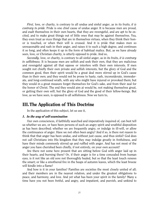*First,* love, or charity, is contrary to all undue and sinful anger, as in its fruits, *it is contrary to pride.* Pride is one chief cause of undue anger. It is because men are proud, and exalt themselves in their own hearts, that they are revengeful, and are apt to be excited, and to make great things out of little ones that may be against themselves. Yea, they even treat as vices things that are in themselves virtues, when they think their honor is touched, or when their will is crossed. And it is pride that makes men so unreasonable and rash in their anger, and raises it to such a high degree, and continues it so long, and often keeps it up in the form of habitual malice. But, as we have already seen, love, or Christian charity, is utterly opposed to pride. And so,

*Secondly,* love, or charity, is contrary to all sinful anger, as in its fruits, *it is contrary to selfishness.* It is because men are selfish and seek their own, that they are malicious and revengeful against all that oppose or interfere with their own interests. If men sought not chiefly their own private and selfish interests, but the glory of God and the common good, then their spirit would be a great deal more stirred up in God's cause than in their own; and they would not be prone to hasty, rash, inconsiderate, immoderate, and long-continued wrath, with any who might have injured or provoked them; but they would in a great measure forget themselves for God's sake, and from their zeal for the honor of Christ. The end they would aim at would be, not making themselves great, or getting their own will, but the glory of God and the good of their fellow-beings. But love, as we have seen, is opposed to all selfishness. Now we turn to,

# III.The Application of This Doctrine

In the application of this subject, let us use it,

# *1. In the way of self-examination*

Our own consciences, if faithfully searched and imperatively inquired of, can best tell us whether we are, or have been persons of such an angry spirit and wrathful disposition as has been described; whether we are frequently angry, or indulge in ill-will, or allow the continuance of anger. Have we not often been angry? And if so, is there not reason to think that that anger has been undue, and without just cause, and thus sinful? God does not call Christians into His kingdom that they may indulge greatly in fretfulness, and have their minds commonly stirred up and ruffled with anger. And has not most of the anger you have cherished been chiefly, if not entirely, on your own account?

Are there not some here present that are sitting before God with anger laid up in their hearts, and burning there? Or, if their anger is for a time concealed from human eyes, is it not like an old sore not thoroughly healed, but so that the least touch renews the smart; or like a smothered fire in the heaps of autumn leaves, which the least breeze will kindle into a flame?

And how is it in your families? Families are societies the most closely united of all; and their members are in the nearest relation, and under the greatest obligations to peace, and harmony, and love. And yet what has been your spirit in the family? Many a time have you not been fretful, and angry, and impatient, and peevish, and unkind to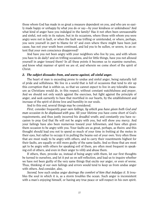those whom God has made in so great a measure dependent on you, and who are so easily made happy or unhappy by what you do or say—by your kindness or unkindness? And what kind of anger have you indulged in the family? Has it not often been unreasonable and sinful, not only in its nature, but in its occasions, where those with whom you were angry were not in fault, or when the fault was trifling or unintended, or where, perhaps, you were yourself in part to blame for it? and even where there might have been just cause, has not your wrath been continued, and led you to be sullen, or severe, to an extent that your own conscience disapproved?

And have you not been angry with your neighbors who live by you, and with whom you have to do daily? and on trifling occasions, and for little things, have you not allowed yourself in anger toward them? In all these points it becomes us to examine ourselves, and know what manner of spirit we are of, and wherein we come short of the spirit of Christ.

## *2. The subject dissuades from, and warns against, all sinful anger.*

The heart of man is exceeding prone to undue and sinful anger, being naturally full of pride and selfishness. We live in a world that is full of occasions that tend to stir up this corruption that is within us, so that we cannot expect to live in any tolerable measure as Christians would do, in this respect, without constant watchfulness and prayer. And we should not only watch against the exercises, but fight against the principle of anger, and seek earnestly to have that mortified in our hearts, by the establishment and increase of the spirit of divine love and humility in our souls.

And to this end, several things may be considered.

*First,* consider frequently *your own failings, by which you have given both God and man occasion to be displeased with you.* All your lifetime you have come short of God's requirements, and thus justly incurred his dreadful wrath; and constantly you have occasion to pray God that He will not be angry with you, but will show you mercy. And your failings have also been numerous toward your fellowmen, and have often given them occasion to be angry with you. Your faults are as great, perhaps, as theirs: and this thought should lead you not to spend so much of your time in fretting at the motes in their eyes, but rather to occupy it in pulling the beams out of your own. Very often those that are most ready to be angry with others, and to carry their resentments highest for their faults, are equally or still more guilty of the same faults. And so those that are most apt to be angry with others for speaking evil of them, are often most frequent in speaking evil of others, and even in their anger to vilify and abuse them.

If others, then, provoke us, instead of being angry with them, let our first thoughts be turned to ourselves, and let it put us on self-reflection, and lead us to inquire whether we have not been guilty of the very same things that excite our anger, or even of worse. Thus, thinking of our own failings and errors would tend to keep us from undue anger with others. And consider, also,

*Second,* how such undue anger *destroys the comfort of him that indulges it*. It troubles the soul in which it is, as a storm troubles the ocean. Such anger is inconsistent with a man's enjoying himself, or having any true peace or self-respect in his own spirit.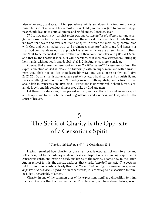Men of an angry and wrathful temper, whose minds are always in a fret, are the most miserable sort of men, and live a most miserable life; so that a regard to our own happiness should lead us to shun all undue and sinful anger. Consider, again,

*Third,* how much such a spirit *unfits persons for the duties of religion.* All undue anger indisposes us for the pious exercises and the active duties of religion. It puts the soul far from that sweet and excellent frame of spirit in which we most enjoy communion with God, and which makes truth and ordinances most profitable to us. And hence it is that God commands us not to approach His altars while we are at enmity with others, but "first to be reconciled to our brother, and then come and offer our gift" (Mat 5:24); and that by the apostle it is said, "I will, therefore, that men pray everywhere, lifting up holy hands, without wrath and doubting" (1Ti 2:8). And, once more, consider,

*Fourth,* that *angry men are spoken of in the Bible as unfit for human society.* The express direction of God is, "Make no friendship with an angry man, and with a furious man thou shalt not go: lest thou learn his ways, and get a snare to thy soul" (Pro 22:24,25). Such a man is accursed as a pest of society, who disturbs and disquiets it, and puts everything into confusion. "An angry man stirreth up strife, and a furious man aboundeth in transgression" (Pro 29:22). Every one is uncomfortable about him; his example is evil, and his conduct disapproved alike by God and men.

<span id="page-23-0"></span>Let these considerations, then, prevail with all, and lead them to avoid an angry spirit and temper, and to cultivate the spirit of gentleness, and kindness, and love, which is the spirit of heaven.

# 5 The Spirit of Charity Is the Opposite of a Censorious Spirit

*"Charity...thinketh no evil."—*1 Corinthians 13:5

Having remarked how charity, or Christian love, is opposed not only to pride and selfishness, but to the ordinary fruits of these evil dispositions, viz. an angry spirit and a censorious spirit, and having already spoken as to the former, I come now to the latter. And in respect to this, the apostle declares, that charity "*thinketh no evil*." The doctrine set forth in these words is clearly this: that *the spirit of charity, or Christian love, is the opposite of a censorious spirit;* or, in other words, it is contrary to a disposition to think or judge uncharitably of others.

Charity, in one of the common uses of the expression, signifies a disposition to think the best of others that the case will allow. This, however, as I have shown before, is not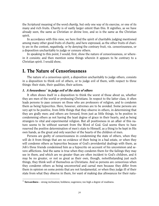the Scriptural meaning of the word *charity,* but only one way of its exercise, or one of its many and rich fruits. Charity is of vastly larger extent than this. It signifies, as we have already seen, the same as Christian or divine love, and so is the same as the Christian spirit.

In accordance with this view, we here find the spirit of charitable judging mentioned among many other good fruits of charity, and here expressed, as the other fruits of charity are in the context, *negatively,* or by denying the contrary fruit, viz. censoriousness, or a disposition uncharitably to judge or censure others.

In speaking to this point, I would, first, show the nature of censoriousness, or wherein it consists; and then mention some things wherein it appears to be contrary to a Christian spirit. I would show,

# I. The Nature of Censoriousness

The nature of a censorious spirit, a disposition uncharitably to judge others, consists in a disposition to think evil of others, or to judge evil of them, with respect to three things: their state, their qualities, their actions.

# *1. A forwardness*[11](#page-24-0) *to judge evil of the state of others*

It often shows itself in a disposition to think the worst of those about us, whether they are men of the world or professing Christians. In respect to the latter class, it often leads persons to pass censure on those who are professors of religion, and to condemn them as being hypocrites. Here, however, extremes are to be avoided. Some persons are very apt to be positive, from little things that they observe in others, in determining that they are godly men; and others are forward, from just as little things, to be positive in condemning others as not having the least degree of grace in their hearts, and as being strangers to vital and experimental religion. But all positiveness in an affair of this nature seems to be without warrant from the Word of God. God seems there to have reserved the positive determination of men's state to Himself, as a thing to be kept in His own hands, as the great and only searcher of the hearts of the children of men.

Persons are guilty of censoriousness in condemning the state of others, when they will do it from things that are no evidence of their being in a bad estate, or when they will condemn others as hypocrites because of God's providential dealings with them, as Job's three friends condemned him as a hypocrite on account of his uncommon and severe afflictions. And the same is true when they condemn them for the failings they may see in them, and which are no greater than are often incident to God's children, and it may be no greater, or not so great as their own, though, notwithstanding just such things, they think well of themselves as Christians. And so persons are censorious when they condemn others as being unconverted and carnal men because they differ from them in opinion on some points that are not fundamental, or when they judge ill of their state from what they observe in them, for want of making due allowances for their natu-

<span id="page-24-0"></span> $11$  **forwardness** – strong inclination; boldness; eagerness; too high a degree of readiness.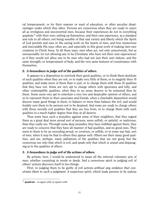ral temperament, or for their manner or want of education, or other peculiar disadvantages under which they labor. Persons are censorious when they are ready to reject all as irreligious and unconverted men, because their experiences do not in everything quadrate<sup>[12](#page-25-0)</sup> with their own; setting up themselves, and their own experience, as a standard and rule to all others; not being sensible of that vast variety and liberty which the Spirit of God permits and uses in His saving work on the hearts of men, and how mysterious and inscrutable His ways often are, and especially in this great work of making men new creatures in Christ Jesus. In all these ways, men often act, not only censoriously, but as unreasonably (in not allowing any to be Christians who have not their own experiences) as if they would not allow any to be men who had not just their own stature, and the same strength, or temperament of body, and the very same features of countenance with themselves.

# *2. A forwardness to judge evil of the qualities of others.*

It appears in a disposition to overlook their good qualities, or to think them destitute of such qualities when they are not, or to make very little of them; or to magnify their ill qualities, and make more of them than is just; or to charge them with those ill qualities that they have not. Some are very apt to charge others with ignorance and folly, and other contemptible qualities, when they in no sense deserve to be esteemed thus by them. Some seem very apt to entertain a very low and despicable opinion of others, and so to represent them to their associates and friends, when a charitable disposition would discern many good things in them, to balance or more than balance the evil, and would frankly own them to be persons not to be despised. And some are ready to charge others with those morally evil qualities that they are free from, or to charge them with such qualities in a much higher degree than they at all deserve.

Thus some have such a prejudice against some of their neighbors, that they regard them as a great deal more proud sort of persons, more selfish, or spiteful, or malicious, than they really are. Through some deep prejudice they have imbibed against them, they are ready to conceive that they have all manner of bad qualities, and no good ones. They seem to them to be an exceeding proud, or covetous, or selfish, or in some way bad, sort of men, when it may be that to others they appear well. Others see their many good qualities, and see, perhaps, many palliations of the qualities that are not good; but the censorious see only that which is evil, and speak only that which is unjust and disparaging as to the qualities of others.

# *3. A forwardness to judge evil of the actions of others.*

By actions, here, I would be understood to mean all the external voluntary acts of men, whether consisting in words or deeds. And a censorious spirit in judging evil of others' actions discovers itself in two things.

*First,* in judging them to be guilty of evil actions *without any evidence that constrains them to such a judgment.* A suspicious spirit, which leads persons to be jealous

<span id="page-25-0"></span> $12$  **quadrate** – to agree with; to square with.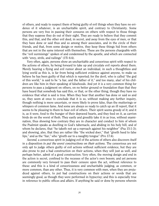of others, and ready to suspect them of being guilty of evil things when they have no evidence of it whatever, is an uncharitable spirit, and contrary to Christianity. Some persons are very free in passing their censures on others with respect to those things that they suppose they do out of their sight. They are ready to believe that they commit this, and that, and the other evil deed, in secret, and away from the eyes of men, or that they have done or said thus and so among their associates, and in the circle of their friends, and that, from some design or motive, they keep these things hid from others that are not in the same interest with themselves. These are the persons chargeable with the "evil surmisings" spoken of and condemned by the apostle, and which are connected with "envy, strife, and railings" (1Ti 6:4).

Very often, again, persons show an uncharitable and censorious spirit with respect to the actions of others, by being forward to take up and circulate evil reports about them. Merely hearing a flying and evil rumor about an individual, in such a thoughtless and lying world as this is, is far from being sufficient evidence against anyone, to make us believe he has been guilty of that which is reported; for the devil, who is called "the god of this world," is said to be "a liar, and the father of it," and too many, alas! of his children are like him in their speaking of falsehoods. And yet it is a very common thing for persons to pass a judgment on others, on no better ground or foundation than that they have heard that somebody has said this, or that, or the other thing, though they have no evidence that what is said is true. When they hear that another has done or said so and so, they seem at once to conclude that it is so, without making any further inquiry, though nothing is more uncertain, or more likely to prove false, than the mutterings or whispers of common fame. And some are always so ready to catch up an ill report, that it seems to be pleasing to them to hear evil of others. Their spirit seems greedy of it; and it is, as it were, food to the hunger of their depraved hearts, and they feed on it, as carrion birds do on the worst of flesh. They easily and greedily take it in as true, without examination, thus showing how contrary they are in character and conduct to him of whom the Psalmist speaks as dwelling in God's tabernacle, and abiding in his holy hill, and of whom he declares, that "he taketh not up a reproach against his neighbor" (Psa 15:1-3); and showing, also, that they are rather like "the wicked doer," that "giveth heed to false lips," and as the "liar," who "giveth ear to a naughty tongue" (Pro 17:4).

*Second,* a censorious spirit in judging evil of the actions of others also discovers itself in a disposition *to put the worst constructions on their actions.* The censorious are not only apt to judge others guilty of evil actions without sufficient evidence, but they are also prone to put a bad construction on their actions, when they will just as well, and perhaps better, admit of a good construction. Very often, the moving design and end in the action is secret, confined to the recesses of the actor's own bosom; and yet persons are commonly very forward to pass their censure upon the act, without reference to these: and this is a kind of censoriousness and uncharitable judging, as common, or more common, than any other. Thus, it is very common with men, when they are prejudiced against others, to put bad constructions on their actions or words that are seemingly good, as though they were performed in hypocrisy; and this is especially true in reference to public offices and affairs. If anything be said or done by persons wherein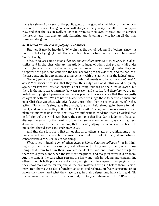there is a show of concern for the public good, or the good of a neighbor, or the honor of God, or the interest of religion, some will always be ready to say that all this is in hypocrisy, and that the design really is, only to promote their own interest, and to advance themselves; and that they are only flattering and deluding others, having all the time some evil design in their hearts.

## *4. Wherein lies the evil in judging ill of others?*

But here it may be inquired, "Wherein lies the evil of judging ill of others, since it is not true that all judging ill of others is unlawful? And where are the lines to be drawn?" To this I reply,

*First,* there are some persons *that are appointed on purpose to be judges,* in civil societies, and in churches, who are impartially to judge of others that properly fall under their cognizance, whether good or bad, and to pass sentence according to what they are; to approve the good, and condemn the bad, according to the evidence, and the nature of the act done, and its agreement or disagreement with the law which is the judges' rule.

*Second,* particular persons, in their private judgments of others; *are not obliged to divest themselves of reason,* that they may thus judge well of all. This would be plainly against reason; for Christian charity is not a thing founded on the ruins of reason, but there is the most sweet harmony between reason and charity. And therefore we are not forbidden to judge all persons when there is plain and clear evidence that they are justly chargeable with evil. We are not to blame, when we judge those to be wicked men, and poor Christless wretches, who give flagrant proof that they are so by a course of wicked action. "Some men's sins," says the apostle, "are open beforehand, going before to judgment; and some men they follow after" (1Ti 5:24). That is, some men's sins are such plain testimony against them, that they are sufficient to condemn them as wicked men in full sight of the world, even before the coming of that final day of judgment that shall disclose the secrets of the heart to all. And so some men's actions give such clear evidence of the evil of their intentions, that it is no judging the secrets of the heart, to judge that their designs and ends are wicked.

And therefore it is plain, that all judging as to others' state, or qualifications, or actions, is not an uncharitable censoriousness. But the evil of that judging wherein censoriousness consists, lies in two things.

*First,* it lies in judging evil of others *when evidence does not oblige to it,* or in thinking ill of them when the case very well allows of thinking well of them; when those things that seem to be in their favor are overlooked, and only those that are against them are regarded, and when the latter are magnified, and too great stress laid on them. And the same is the case when persons are hasty and rash in judging and condemning others, though both prudence and charity oblige them to suspend their judgment till they know more of the matter, and all the circumstances are plain before them. Persons may often show a great deal of uncharitableness and rashness, in freely censuring others before they have heard what they have to say in their defense. And hence it is said, "He that answereth a matter before he heareth it, it is folly and shame unto him" (Pro 18:13).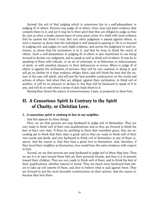*Second,* the evil of that judging which is censorious lies in a *well-pleasedness* in judging ill of others. Persons may judge ill of others, from clear and plain evidence that compels them to it, and yet it may be to their grief that they are obliged to judge as they do; just as when a tender parent hears of some great crime of a child with such evidence that he cannot but think it true. But very often judgment is passed against others, in such a manner as shows that the individual is well pleased in passing it. He is so forward in judging evil, and judges on such slight evidence, and carries his judgment to such extremes, as shows that his inclination is in it, and that he loves to think the worst of others. Such a well-pleasedness in judging ill of others is also manifested in our being forward to declare our judgment, and to speak as well as think evil of others. It may be in speaking of them with ridicule, or an air of contempt, or in bitterness or maliciousness of spirit, or with manifest pleasure in their deficiencies or errors. When to judge ill of others is against the inclination of persons, they will be very cautious in doing it, and will go no further in it than evidence obliges them, and will think the best that the nature of the case will admit, and will put the best possible construction on the words and actions of others. And when they are obliged, against their inclination, to think evil of another, it will be no pleasure to declare it, but they will be backward to speak of it to any, and will do so only when a sense of duty leads them to it.

Having thus shown the nature of censoriousness, I pass, as proposed, to show how,

# II. A Censorious Spirit Is Contrary to the Spirit of Charity, or Christian Love.

## *1. A censorious spirit is contrary to love to our neighbor.*

#### And this appears by three things.

*First,* we see that persons are *very backward to judge evil of themselves.* They are very ready to think well of their own qualifications; and so they are forward to think the best of their own state. If there be anything in them that resembles grace, they are exceeding apt to think that their state is good; and so they are ready to think well of their own words and deeds, and very backward to think evil of themselves in any of these respects. And the reason is, that they have a great love to themselves. And, therefore, if they loved their neighbor as themselves, love would have the same tendency with respect to him.

*Second,* we see that persons *are very backward to judge evil of those they love.* Thus we see it is in men toward those that are their personal friends, and thus it is in parents toward their children. They are very ready to think well of them, and to think the best of their qualifications, whether natural or moral. They are much more backward than others to take up evil reports of them, and slow to believe what is said against them. They are forward to put the most favorable constructions on their actions. And the reason is, because they love them.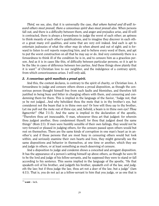*Third,* we see, also, that it is universally the case, *that where hatred and ill-will toward others most prevail, there a censorious spirit does most prevail also.* When persons fall out, and there is a difficulty between them, and anger and prejudice arise, and ill-will is contracted, there is always a forwardness to judge the worst of each other; an aptness to think meanly of each other's qualifications, and to imagine they discover in each other a great many evil qualities, and some that are very evil indeed. And each is apt to entertain jealousies of what the other may do when absent and out of sight; and is forward to listen to evil reports respecting him, and to believe every word of them, and apt to put the worst construction on all that he may say or do. And very commonly there is a forwardness to think ill of the condition he is in, and to censure him as a graceless person. And as it is in cases like this, of difficulty between particular persons, so it is apt to be the like in cases of difference between two parties. And these things show plainly that it is want<sup>[13](#page-29-0)</sup> of Christian love to our neighbor, and the indulgence of a contrary spirit, from which censoriousness arises. I will only add,

## *2. A censorious spirit manifests a proud spirit.*

And this, the context declares, is contrary to the spirit of charity, or Christian love. A forwardness to judge and censure others shows a proud disposition, as though the censorious person thought himself free from such faults and blemishes, and therefore felt justified in being busy and bitter in charging others with them, and censuring and condemning them for them. This is implied in the language of the Savior, "Judge not, that ye be not judged…And why beholdest thou the mote that is in thy brother's eye, but considerest not the beam that is in thine own eye? Or how wilt thou say to thy brother, Let me pull out the mote out of thine eye; and, behold, a beam is in thine own eye? *Thou hypocrite!*" (Mat 7:1-5). And the same is implied in the declaration of the apostle, "Therefore thou art inexcusable, O man, whosoever thou art that judgest: for wherein thou judgest another, thou condemnest thyself; for thou that judgest doest the same things" (Rom 2:1). If men were humbly sensible of their own failings, they would not be very forward or pleased in judging others, for the censure passed upon others would but rest on themselves. There are the same kinds of corruption in one man's heart as in another's; and if those persons that are most busy in censuring others would but look within, and seriously examine their own hearts and lives, they might generally see the same dispositions and behavior in themselves, at one time or another, which they see and judge in others, or at least something as much deserving of censure.

And a disposition to judge and condemn shows a conceited and arrogant disposition. It has the appearance of a person's setting himself up above others, as though he were fit to be the lord and judge of his fellow-servants, and he supposed they were to stand or fall according to his sentence. This seems implied in the language of the apostle, "He that speaketh evil of his brother, and judgeth his brother, speaketh evil of the law, and judgeth the law; but if thou judge the law, thou art not a doer of the law, but a judge" (Jam 4:11). That is, you do not act as a fellow-servant to him that you judge, or as one that is

<span id="page-29-0"></span> $13$  **want** – lack.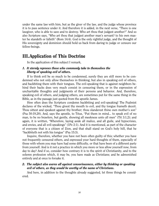under the same law with him, but as the giver of the law, and the judge whose province it is to pass sentence under it. And therefore it is added, in the next verse, "There is one lawgiver, who is able to save and to destroy. Who art thou that judgest another?" And so also Scripture says, "Who art thou that judgest another man's servant? to his own master he standeth or falleth" (Rom 14:4). God is the only rightful judge, and the thought of His sovereignty and dominion should hold us back from daring to judge or censure our fellow-beings.

# III.Application of This Doctrine

In the application of this subject I remark,

# *1. It sternly reproves those who commonly take to themselves the liberty of speaking evil of others.*

If to think evil be so much to be condemned, surely they are still more to be condemned who not only allow themselves in thinking, but also in speaking evil of others, and backbiting them with their tongues. The evil-speaking that is against neighbors behind their backs does very much consist in censuring them, or in the expression of uncharitable thoughts and judgments of their persons and behavior. And, therefore, speaking evil of others, and judging others, are sometimes put for the same thing in the Bible, as in the passage just quoted from the apostle James.

How often does the Scripture condemn backbiting and evil-speaking! The Psalmist declares of the wicked, "Thou givest thy mouth to evil, and thy tongue frameth deceit. Thou sittest and speakest against thy brother; thou slanderest thine own mother's son" (Psa 50:19,20). And, says the apostle, to Titus, "Put them in mind... to speak evil of no man, to be no brawlers, but gentle, showing all meekness unto all men" (Tit 3:1,2); and again, it is written, "Wherefore, laying aside all malice, and all guile, and hypocrisies, and envies, and all evil-speakings" (1Pe 2:1). And it is mentioned, as part of the character of everyone that is a citizen of Zion, and that shall stand on God's holy hill, that he "backbiteth not with his tongue" (Psa 15:3).

Inquire, therefore, whether you have not been often guilty of this; whether you have not frequently censured others, and expressed your hard thoughts of them, especially of those with whom you may have had some difficulty, or that have been of a different party from yourself. And is it not a practice in which you more or less allow yourself now, from day to day? And if so, consider how contrary it is to the spirit of Christianity, and to the solemn profession which, it may be, you have made as Christians; and be admonished entirely and at once to forsake it.

# *2. The subject also warns all against censoriousness, either by thinking or speaking evil of others, as they would be worthy of the name of Christians.*

And here, in addition to the thoughts already suggested, let three things be considered.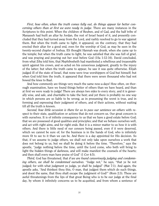*First, how often, when the truth comes fully out, do things appear far better concerning others than at first we were ready to judge*. There are many instances in the Scriptures to this point. When the children of Reuben, and of Gad, and the half tribe of Manasseh had built an altar by Jordan, the rest of Israel heard of it, and presently concluded that they had turned away from the Lord, and rashly resolved to go to war against them. But when the truth came to light, it appeared, on the contrary, that they had erected their altar for a good end, even for the worship of God, as may be seen in the twenty-second chapter of Joshua. Eli thought Hannah was drunk, when she came up to the temple; but when the truth came to light, he was satisfied that she was full of grief, and was praying and pouring out her soul before God (1Sa 1:12-16). David concluded, from what Ziba told him, that Mephibosheth had manifested a rebellious and treasonable spirit against his crown, and so acted on his censorious judgment, greatly to the injury of the latter; but when the truth came to appear, he saw it was quite otherwise. Elijah judged ill of the state of Israel, that none were true worshippers of God but himself; but when God told him the truth, it appeared that there were seven thousand who had not bowed the knee to Baal.

And how commonly are things very much the same now-a-days! How often, on thorough examination, have we found things better of others than we have heard, and than at first we were ready to judge! There are always two sides to every story, and it is generally wise, and safe, and charitable to take the best; and yet there is probably no one way in which persons are so liable to be wrong, as in presuming the worst is true, and in forming and expressing their judgment of others, and of their actions, without waiting till all the truth is known.

*Second, how little occasion is there for us to pass our sentence on others* with respect to their state, qualification or actions that do not concern us. Our great concern is with ourselves. It is of infinite consequence to us that we have a good estate before God; that we are possessed of good qualities and principles; and that we behave ourselves well, and act with right aims, and for right ends. But it is a minor matter to us how it is with others. And there is little need of our censure being passed, even if it were deserved, which we cannot be sure of; for the business is in the hands of God, who is infinitely more fit to see to it than we can be. And there is a day appointed for His decision. So that, if we assume to judge others, we shall not only take upon ourselves a work that does not belong to us, but we shall be doing it before the time. "Therefore," says the apostle, "judge nothing before the time, until the Lord come, who both will bring to light the hidden things of darkness, and will make manifest the counsels of the hearts; and then shall every man have praise of God" (1 Cor 4:5).

*Third,* God has threatened, that *if we are found censoriously judging and condemning others, we shall be condemned ourselves.* "Judge not," he says, "that ye be not judged; for with what judgment ye judge, ye shall be judged" (Mat 7:1). And again, the apostle asks, "And thinkest thou this, O man, that judgest them which do such things, and doest the same, that thou shalt escape the judgment of God?" (Rom 2:3). These are awful threatenings from the lips of that great Being who is to be our judge at the final day, by whom it infinitely concerns us to be acquitted, and from whom a sentence of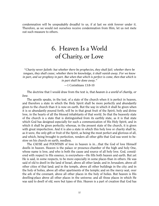<span id="page-32-0"></span>condemnation will be unspeakably dreadful to us, if at last we sink forever under it. Therefore, as we would not ourselves receive condemnation from Him, let us not mete out such measure to others.

# 6. Heaven Is a World of Charity, or Love

*"Charity never faileth: but whether there be prophecies, they shall fail; whether there be tongues, they shall cease; whether there be knowledge, it shall vanish away. For we know in part, and we prophesy in part. But when that which is perfect is come, then that which is in part shall be done away."*

*—*1 Corinthians 13:8-10

The doctrine that I would draw from the text is, that *heaven is a world of charity, or love.*

The apostle speaks, in the text, of a state of the church when it is perfect in heaven, and therefore a state in which the Holy Spirit shall be more perfectly and abundantly given to the church than it is now on earth. But the way in which it shall be given when it is so abundantly poured forth, will be in that great fruit of the Spirit, holy and divine love, in the hearts of all the blessed inhabitants of that world. So that the heavenly state of the church is a state that is distinguished from its earthly state, as it is that state which God has designed especially for such a communication of His Holy Spirit, and in which it shall be given perfectly; whereas, in the present state of the church, it is given with great imperfection. And it is also a state in which this holy love or charity shall be, as it were, the only gift or fruit of the Spirit, as being the most perfect and glorious of all, and which, being brought to perfection, renders all other gifts that God was wont to bestow on his church on earth, needless.

The CAUSE and FOUNTAIN of love in heaven is in…that the God of love Himself dwells in heaven. Heaven is the palace or presence-chamber of the high and holy One, whose name is love, and who is both the cause and source of all holy love. God, considered with respect to His essence, is everywhere—He fills both heaven and earth. But yet He is said, in some respects, to be more especially in some places than in others. He was said of old to dwell in the land of Israel, above all other lands; and in Jerusalem, above all other cities of that land; and in the temple, above all other buildings in the city; and in the holy of holies, above all other apartments of the temple; and on the mercy seat, over the ark of the covenant, above all other places in the holy of holies. But heaven is His dwelling-place above all other places in the universe; and all those places in which He was said to dwell of old, were but types of this. Heaven is a part of creation that God has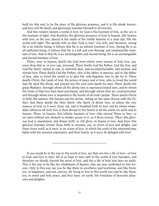built for this end, to be the place of His glorious presence, and it is His abode forever; and here will He dwell, and gloriously manifest Himself to all eternity.

And this renders heaven a world of love; for God is the fountain of love, as the sun is the fountain of light. And therefore the glorious presence of God in heaven, fills heaven with love, as the sun, placed in the midst of the visible heavens in a clear day, fills the world with light. The apostle tells us that "God is love" (1Jo 4:8); and therefore, seeing He is an infinite being, it follows that He is an infinite fountain of love. Seeing He is an all-sufficient being, it follows that He is a full and over-flowing, and inexhaustible fountain of love. And in that He is an unchangeable and eternal being, He is an unchangeable and eternal fountain of love.

There, even in heaven, dwells the God from whom every stream of holy love, yea, every drop that is, or ever was, proceeds. There dwells God the Father, God the Son, and God the Spirit, united as one, in infinitely dear, and incomprehensible, and mutual, and eternal love. There dwells God the Father, who is the father of mercies, and so the father of love, who so loved the world as to give His only-begotten Son to die for it. There dwells Christ, the Lamb of God, the prince of peace and of love, who so loved the world that He shed His blood, and poured out His soul unto death for men. There dwells the great Mediator, through whom all the divine love is expressed toward men, and by whom the fruits of that love have been purchased, and through whom they are communicated, and through whom love is imparted to the hearts of all God's people. There dwells Christ in both His natures, the human and the divine, sitting on the same throne with the Father. And there dwells the Holy Spirit—the Spirit of divine love, in whom the very essence of God, as it were, flows out, and is breathed forth in love, and by whose immediate influence all holy love is shed abroad in the hearts of all the saints on earth and in heaven. There, in heaven, this infinite fountain of love—this eternal Three in One—is set open without any obstacle to hinder access to it, as it flows forever. There this glorious God is manifested, and shines forth, in full glory, in beams of love. And there this glorious fountain forever flows forth in streams, yea, in rivers of love and delight, and these rivers swell, as it were, to an ocean of love, in which the souls of the ransomed may bathe with the sweetest enjoyment, and their hearts, as it were, be deluged with love!

If you would be in the way to the world of love, see that you live a life of love—of love to God, and love to men. All of us hope to have part in the world of love hereafter, and therefore we should cherish the spirit of love, and live a life of holy love here on earth. This is the way to be like the inhabitants of heaven, who are now confirmed in love forever. Only in this way can you be like them in excellence and loveliness, and like them, too, in happiness, and rest, and joy. By living in love in this world you may be like them, too, in sweet and holy peace, and thus have, on earth, the foretastes of heavenly pleasures and delights.

**\_\_\_\_\_\_\_\_\_\_\_\_\_\_\_\_\_\_\_\_\_**